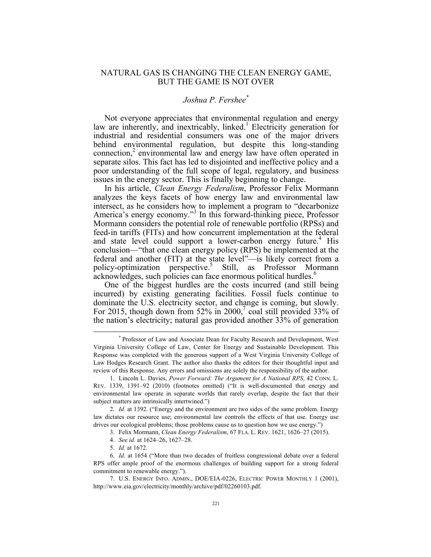## NATURAL GAS IS CHANGING THE CLEAN ENERGY GAME, BUT THE GAME IS NOT OVER

## *Joshua P. Fershee\**

Not everyone appreciates that environmental regulation and energy law are inherently, and inextricably, linked.<sup>1</sup> Electricity generation for industrial and residential consumers was one of the major drivers behind environmental regulation, but despite this long-standing connection,<sup>2</sup> environmental law and energy law have often operated in separate silos. This fact has led to disjointed and ineffective policy and a poor understanding of the full scope of legal, regulatory, and business issues in the energy sector. This is finally beginning to change.

In his article, *Clean Energy Federalism*, Professor Felix Mormann analyzes the keys facets of how energy law and environmental law intersect, as he considers how to implement a program to "decarbonize America's energy economy."<sup>3</sup> In this forward-thinking piece, Professor Mormann considers the potential role of renewable portfolio (RPSs) and feed-in tariffs (FITs) and how concurrent implementation at the federal and state level could support a lower-carbon energy future.<sup>4</sup> His conclusion—"that one clean energy policy (RPS) be implemented at the federal and another (FIT) at the state level"—is likely correct from a policy-optimization perspective.<sup>5</sup> Still, as Professor Mormann acknowledges, such policies can face enormous political hurdles.<sup>6</sup>

One of the biggest hurdles are the costs incurred (and still being incurred) by existing generating facilities. Fossil fuels continue to dominate the U.S. electricity sector, and change is coming, but slowly. For 2015, though down from 52% in 2000,<sup>7</sup> coal still provided 33% of the nation's electricity; natural gas provided another 33% of generation

 <sup>\*</sup> Professor of Law and Associate Dean for Faculty Research and Development, West Virginia University College of Law, Center for Energy and Sustainable Development. This Response was completed with the generous support of a West Virginia University College of Law Hodges Research Grant. The author also thanks the editors for their thoughtful input and review of this Response. Any errors and omissions are solely the responsibility of the author.

<sup>1.</sup> Lincoln L. Davies, *Power Forward: The Argument for A National RPS*, 42 CONN. L. REV. 1339, 1391–92 (2010) (footnotes omitted) ("It is well-documented that energy and environmental law operate in separate worlds that rarely overlap, despite the fact that their subject matters are intrinsically intertwined.")

<sup>2.</sup> *Id.* at 1392. ("Energy and the environment are two sides of the same problem. Energy law dictates our resource use; environmental law controls the effects of that use. Energy use drives our ecological problems; those problems cause us to question how we use energy.")

<sup>3.</sup> Felix Mormann, *Clean Energy Federalism*, 67 FLA. L. REV. 1621, 1626–27 (2015).

<sup>4.</sup> *See id.* at 1624–26, 1627–28.

<sup>5.</sup> *Id.* at 1672.

<sup>6.</sup> *Id.* at 1654 ("More than two decades of fruitless congressional debate over a federal RPS offer ample proof of the enormous challenges of building support for a strong federal commitment to renewable energy.").

<sup>7.</sup> U.S. ENERGY INFO. ADMIN., DOE/EIA-0226, ELECTRIC POWER MONTHLY 1 (2001), http://www.eia.gov/electricity/monthly/archive/pdf/02260103.pdf.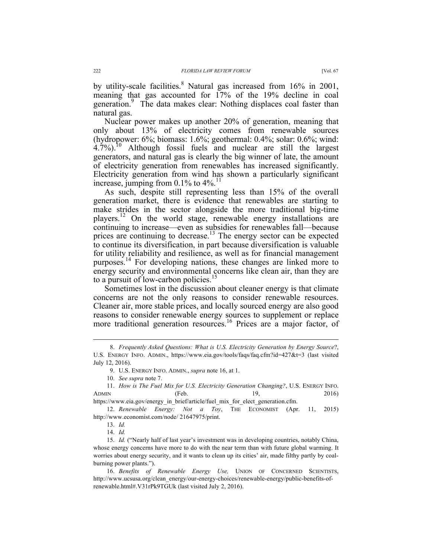by utility-scale facilities.<sup>8</sup> Natural gas increased from  $16\%$  in 2001, meaning that gas accounted for 17% of the 19% decline in coal generation.<sup>9</sup> The data makes clear: Nothing displaces coal faster than

natural gas. Nuclear power makes up another 20% of generation, meaning that only about 13% of electricity comes from renewable sources (hydropower: 6%; biomass: 1.6%; geothermal: 0.4%; solar: 0.6%; wind:  $4.7\%$ ).<sup>10</sup> Although fossil fuels and nuclear are still the largest generators, and natural gas is clearly the big winner of late, the amount of electricity generation from renewables has increased significantly. Electricity generation from wind has shown a particularly significant increase, jumping from  $0.1\%$  to  $4\%$ <sup>11</sup>

As such, despite still representing less than 15% of the overall generation market, there is evidence that renewables are starting to make strides in the sector alongside the more traditional big-time players.<sup>12</sup> On the world stage, renewable energy installations are continuing to increase—even as subsidies for renewables fall—because prices are continuing to decrease.<sup>13</sup> The energy sector can be expected to continue its diversification, in part because diversification is valuable for utility reliability and resilience, as well as for financial management purposes.<sup>14</sup> For developing nations, these changes are linked more to energy security and environmental concerns like clean air, than they are to a pursuit of low-carbon policies.<sup>1</sup>

Sometimes lost in the discussion about cleaner energy is that climate concerns are not the only reasons to consider renewable resources. Cleaner air, more stable prices, and locally sourced energy are also good reasons to consider renewable energy sources to supplement or replace more traditional generation resources.<sup>16</sup> Prices are a major factor, of

 <sup>8.</sup> *Frequently Asked Questions: What is U.S. Electricity Generation by Energy Source*?, U.S. ENERGY INFO. ADMIN., https://www.eia.gov/tools/faqs/faq.cfm?id=427&t=3 (last visited July 12, 2016).

<sup>9.</sup> U.S. ENERGY INFO. ADMIN., *supra* note 16, at 1.

<sup>10.</sup> *See supra* note 7.

<sup>11.</sup> *How is The Fuel Mix for U.S. Electricity Generation Changing?*, U.S. ENERGY INFO. ADMIN (Feb. 19, 2016)

https://www.eia.gov/energy\_in\_brief/article/fuel\_mix\_for\_elect\_generation.cfm.

<sup>12.</sup> *Renewable Energy: Not a Toy*, THE ECONOMIST (Apr. 11, 2015) http://www.economist.com/node/ 21647975/print.

<sup>13.</sup> *Id.*

<sup>14.</sup> *Id.*

<sup>15.</sup> *Id.* ("Nearly half of last year's investment was in developing countries, notably China, whose energy concerns have more to do with the near term than with future global warming. It worries about energy security, and it wants to clean up its cities' air, made filthy partly by coalburning power plants.").

<sup>16.</sup> *Benefits of Renewable Energy Use,* UNION OF CONCERNED SCIENTISTS, http://www.ucsusa.org/clean\_energy/our-energy-choices/renewable-energy/public-benefits-ofrenewable.html#.V31rPk9TGUk (last visited July 2, 2016).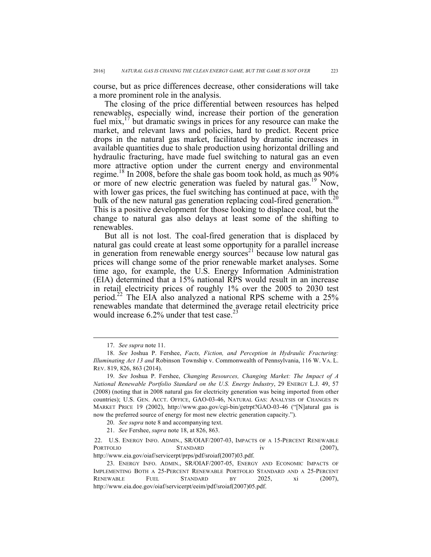course, but as price differences decrease, other considerations will take a more prominent role in the analysis.

The closing of the price differential between resources has helped renewables, especially wind, increase their portion of the generation fuel mix, $17$  but dramatic swings in prices for any resource can make the market, and relevant laws and policies, hard to predict. Recent price drops in the natural gas market, facilitated by dramatic increases in available quantities due to shale production using horizontal drilling and hydraulic fracturing, have made fuel switching to natural gas an even more attractive option under the current energy and environmental regime.<sup>18</sup> In 2008, before the shale gas boom took hold, as much as 90% or more of new electric generation was fueled by natural gas.<sup>19</sup> Now, with lower gas prices, the fuel switching has continued at pace, with the bulk of the new natural gas generation replacing coal-fired generation.<sup>20</sup> This is a positive development for those looking to displace coal, but the change to natural gas also delays at least some of the shifting to renewables.

But all is not lost. The coal-fired generation that is displaced by natural gas could create at least some opportunity for a parallel increase in generation from renewable energy sources<sup>21</sup> because low natural gas prices will change some of the prior renewable market analyses. Some time ago, for example, the U.S. Energy Information Administration (EIA) determined that a 15% national RPS would result in an increase in retail electricity prices of roughly 1% over the 2005 to 2030 test period.<sup>22</sup> The EIA also analyzed a national RPS scheme with a  $25\%$ renewables mandate that determined the average retail electricity price would increase  $6.2\%$  under that test case.<sup>23</sup>

 <sup>17.</sup> *See supra* note 11.

<sup>18.</sup> *See* Joshua P. Fershee, *Facts, Fiction, and Perception in Hydraulic Fracturing: Illuminating Act 13 and* Robinson Township v. Commonwealth of Pennsylvania, 116 W. VA. L. REV. 819, 826, 863 (2014).

<sup>19.</sup> *See* Joshua P. Fershee, *Changing Resources, Changing Market: The Impact of A National Renewable Portfolio Standard on the U.S. Energy Industry*, 29 ENERGY L.J. 49, 57 (2008) (noting that in 2008 natural gas for electricity generation was being imported from other countries); U.S. GEN. ACCT. OFFICE, GAO-03-46, NATURAL GAS: ANALYSIS OF CHANGES IN MARKET PRICE 19 (2002), http://www.gao.gov/cgi-bin/getrpt?GAO-03-46 ("[N]atural gas is now the preferred source of energy for most new electric generation capacity.").

<sup>20.</sup> *See supra* note 8 and accompanying text.

<sup>21.</sup> *See* Fershee, *supra* note 18, at 826, 863.

<sup>22.</sup> U.S. ENERGY INFO. ADMIN., SR/OIAF/2007-03, IMPACTS OF A 15-PERCENT RENEWABLE PORTFOLIO STANDARD iv (2007), http://www.eia.gov/oiaf/servicerpt/prps/pdf/sroiaf(2007)03.pdf.

<sup>23.</sup> ENERGY INFO. ADMIN., SR/OIAF/2007-05, ENERGY AND ECONOMIC IMPACTS OF IMPLEMENTING BOTH A 25-PERCENT RENEWABLE PORTFOLIO STANDARD AND A 25-PERCENT RENEWABLE FUEL STANDARD BY 2025, xi (2007), http://www.eia.doe.gov/oiaf/servicerpt/eeim/pdf/sroiaf(2007)05.pdf.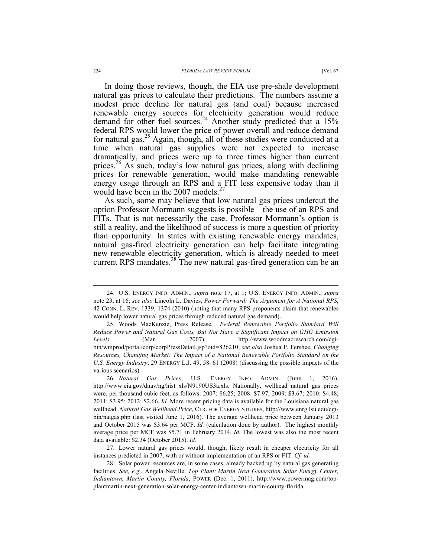In doing those reviews, though, the EIA use pre-shale development natural gas prices to calculate their predictions. The numbers assume a modest price decline for natural gas (and coal) because increased renewable energy sources for electricity generation would reduce demand for other fuel sources.<sup>24</sup> Another study predicted that a 15% federal RPS would lower the price of power overall and reduce demand for natural gas.<sup>25</sup> Again, though, all of these studies were conducted at a time when natural gas supplies were not expected to increase dramatically, and prices were up to three times higher than current prices.<sup>26</sup> As such, today's low natural gas prices, along with declining prices for renewable generation, would make mandating renewable energy usage through an RPS and a FIT less expensive today than it would have been in the  $2007$  models.<sup>27</sup>

As such, some may believe that low natural gas prices undercut the option Professor Mormann suggests is possible—the use of an RPS and FITs. That is not necessarily the case. Professor Mormann's option is still a reality, and the likelihood of success is more a question of priority than opportunity. In states with existing renewable energy mandates, natural gas-fired electricity generation can help facilitate integrating new renewable electricity generation, which is already needed to meet current RPS mandates.<sup>28</sup> The new natural gas-fired generation can be an

27. Lower natural gas prices would, though, likely result in cheaper electricity for all instances predicted in 2007, with or without implementation of an RPS or FIT. *Cf. id.*

 <sup>24.</sup> U.S. ENERGY INFO. ADMIN., *supra* note 17, at 1; U.S. ENERGY INFO. ADMIN., *supra* note 23, at 16; *see also* Lincoln L. Davies, *Power Forward: The Argument for A National RPS*, 42 CONN. L. REV. 1339, 1374 (2010) (noting that many RPS proponents claim that renewables would help lower natural gas prices through reduced natural gas demand).

<sup>25.</sup> Woods MacKenzie, Press Release, *Federal Renewable Portfolio Standard Will Reduce Power and Natural Gas Costs, But Not Have a Significant Impact on GHG Emission Levels* (Mar. 2007), http://www.woodmacresearch.com/cgibin/wmprod/portal/corp/corpPressDetail.jsp?oid=826210; *see also* Joshua P. Fershee, *Changing Resources, Changing Market: The Impact of a National Renewable Portfolio Standard on the U.S. Energy Industry*, 29 ENERGY L.J. 49, 58–61 (2008) (discussing the possible impacts of the various scenarios).

<sup>26.</sup> *Natural Gas Prices*, U.S. ENERGY INFO. ADMIN. (June 1, 2016), http://www.eia.gov/dnav/ng/hist\_xls/N9190US3a.xls. Nationally, wellhead natural gas prices were, per thousand cubic feet, as follows: 2007: \$6.25; 2008: \$7.97; 2009: \$3.67; 2010: \$4.48; 2011: \$3.95; 2012: \$2.66. *Id.* More recent pricing data is available for the Louisiana natural gas wellhead. *Natural Gas Wellhead Price*, CTR. FOR ENERGY STUDIES, http://www.enrg.lsu.edu/cgibin/natgas.php (last visited June 1, 2016). The average wellhead price between January 2013 and October 2015 was \$3.64 per MCF. *Id.* (calculation done by author). The highest monthly average price per MCF was \$5.71 in February 2014. *Id.* The lowest was also the most recent data available: \$2.34 (October 2015). *Id.*

<sup>28.</sup> Solar power resources are, in some cases, already backed up by natural gas generating facilities. *See, e.g.*, Angela Neville, *Top Plant: Martin Next Generation Solar Energy Center, Indiantown, Martin County, Florida*, POWER (Dec. 1, 2011), http://www.powermag.com/topplantmartin-next-generation-solar-energy-center-indiantown-martin-county-florida.